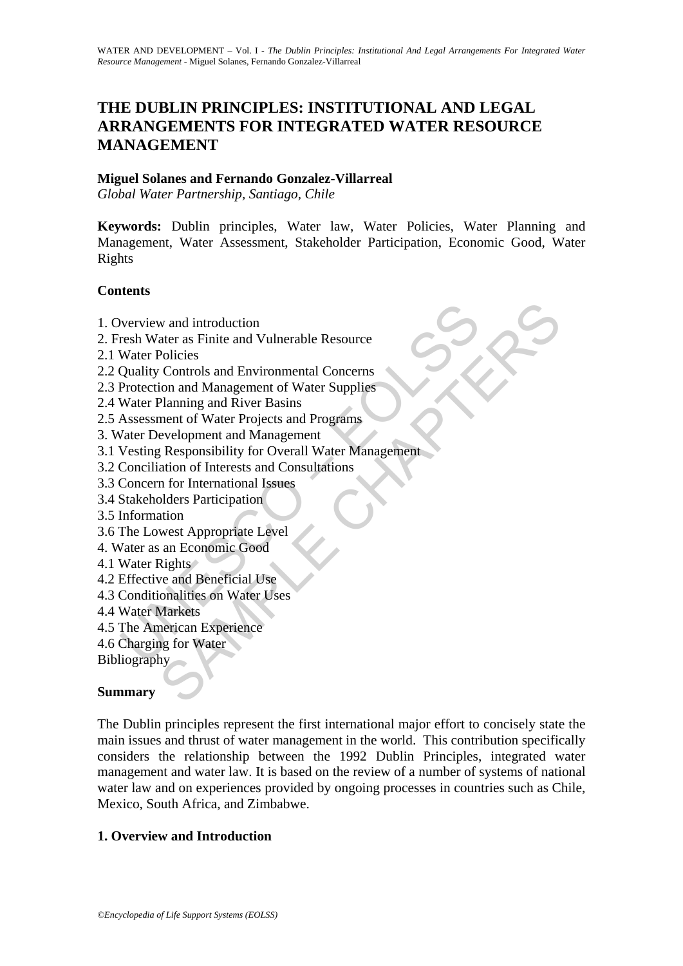# **THE DUBLIN PRINCIPLES: INSTITUTIONAL AND LEGAL ARRANGEMENTS FOR INTEGRATED WATER RESOURCE MANAGEMENT**

#### **Miguel Solanes and Fernando Gonzalez-Villarreal**

*Global Water Partnership, Santiago, Chile* 

**Keywords:** Dublin principles, Water law, Water Policies, Water Planning and Management, Water Assessment, Stakeholder Participation, Economic Good, Water Rights

#### **Contents**

- 1. Overview and introduction
- 2. Fresh Water as Finite and Vulnerable Resource
- 2.1 Water Policies
- 2.2 Quality Controls and Environmental Concerns
- 2.3 Protection and Management of Water Supplies
- 2.4 Water Planning and River Basins
- 2.5 Assessment of Water Projects and Programs
- 3. Water Development and Management
- Werview and introduction<br>
resh Water as Finite and Vulnerable Resource<br>
Water Policies<br>
Quality Controls and Environmental Concerns<br>
Protection and Management of Water Supplies<br>
Water Planning and River Basins<br>
Massessment W and introduction<br>tare as Finite and Vulnerable Resource<br>Policies<br>Controls and Environmental Concerns<br>Controls and Hangement of Water Supplies<br>ment of Water Projects and Programs<br>wevelopment and Management<br>evelopment and 3.1 Vesting Responsibility for Overall Water Management
- 3.2 Conciliation of Interests and Consultations
- 3.3 Concern for International Issues
- 3.4 Stakeholders Participation
- 3.5 Information
- 3.6 The Lowest Appropriate Level
- 4. Water as an Economic Good
- 4.1 Water Rights
- 4.2 Effective and Beneficial Use
- 4.3 Conditionalities on Water Uses
- 4.4 Water Markets
- 4.5 The American Experience
- 4.6 Charging for Water
- Bibliography

## **Summary**

The Dublin principles represent the first international major effort to concisely state the main issues and thrust of water management in the world. This contribution specifically considers the relationship between the 1992 Dublin Principles, integrated water management and water law. It is based on the review of a number of systems of national water law and on experiences provided by ongoing processes in countries such as Chile, Mexico, South Africa, and Zimbabwe.

## **1. Overview and Introduction**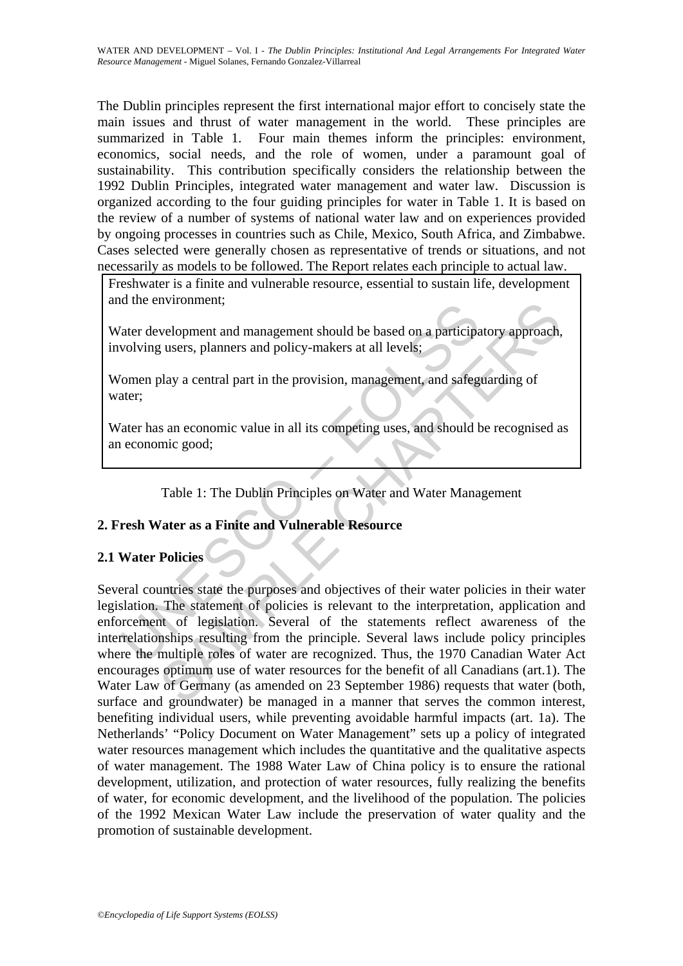The Dublin principles represent the first international major effort to concisely state the main issues and thrust of water management in the world. These principles are summarized in Table 1. Four main themes inform the principles: environment, economics, social needs, and the role of women, under a paramount goal of sustainability. This contribution specifically considers the relationship between the 1992 Dublin Principles, integrated water management and water law. Discussion is organized according to the four guiding principles for water in Table 1. It is based on the review of a number of systems of national water law and on experiences provided by ongoing processes in countries such as Chile, Mexico, South Africa, and Zimbabwe. Cases selected were generally chosen as representative of trends or situations, and not necessarily as models to be followed. The Report relates each principle to actual law.

Freshwater is a finite and vulnerable resource, essential to sustain life, development and the environment;

Water development and management should be based on a participatory approach, involving users, planners and policy-makers at all levels;

Women play a central part in the provision, management, and safeguarding of water;

Water has an economic value in all its competing uses, and should be recognised as an economic good;

Table 1: The Dublin Principles on Water and Water Management

## **2. Fresh Water as a Finite and Vulnerable Resource**

## **2.1 Water Policies**

The distance of a participal and management should be based on a participal<br>
volving users, planners and policy-makers at all levels:<br>
Tomen play a central part in the provision, management, and safeguent;<br>
Tater has an ec informediately<br>
welopment and management should be based on a participatory approach,<br>
yelopment and management should be based on a participatory approach,<br>
play a central part in the provision, management, and safeguardi Several countries state the purposes and objectives of their water policies in their water legislation. The statement of policies is relevant to the interpretation, application and enforcement of legislation. Several of the statements reflect awareness of the interrelationships resulting from the principle. Several laws include policy principles where the multiple roles of water are recognized. Thus, the 1970 Canadian Water Act encourages optimum use of water resources for the benefit of all Canadians (art.1). The Water Law of Germany (as amended on 23 September 1986) requests that water (both, surface and groundwater) be managed in a manner that serves the common interest, benefiting individual users, while preventing avoidable harmful impacts (art. 1a). The Netherlands' "Policy Document on Water Management" sets up a policy of integrated water resources management which includes the quantitative and the qualitative aspects of water management. The 1988 Water Law of China policy is to ensure the rational development, utilization, and protection of water resources, fully realizing the benefits of water, for economic development, and the livelihood of the population. The policies of the 1992 Mexican Water Law include the preservation of water quality and the promotion of sustainable development.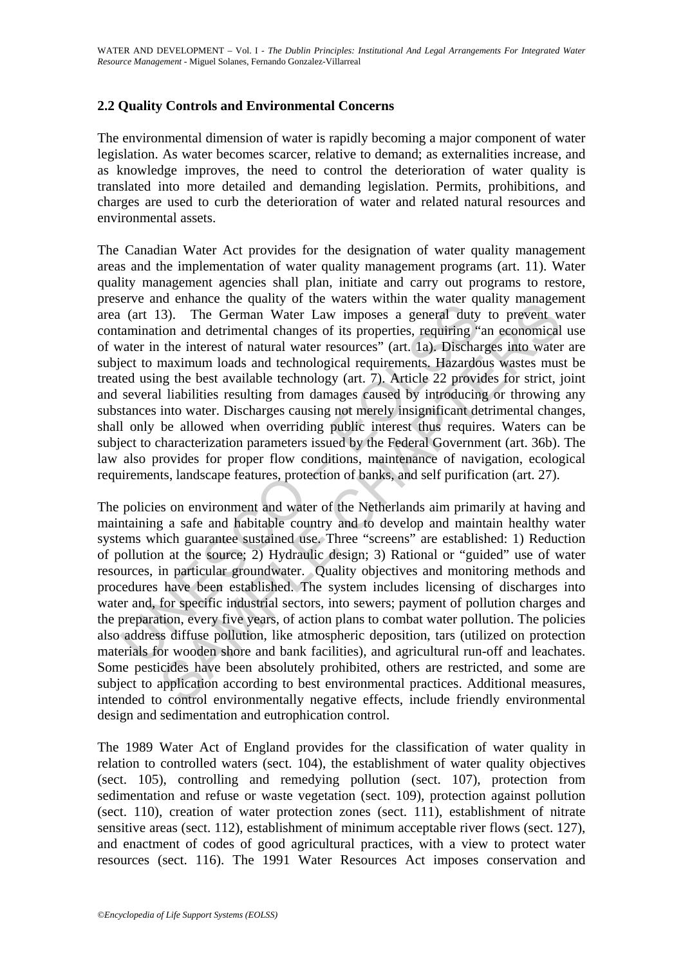## **2.2 Quality Controls and Environmental Concerns**

The environmental dimension of water is rapidly becoming a major component of water legislation. As water becomes scarcer, relative to demand; as externalities increase, and as knowledge improves, the need to control the deterioration of water quality is translated into more detailed and demanding legislation. Permits, prohibitions, and charges are used to curb the deterioration of water and related natural resources and environmental assets.

From the matter of equally of the water of equals, that we may water in the interest of natural values and netween the interest of natural values and technological requirements. Hazardo equirements of natural water resourc The Canadian Water Act provides for the designation of water quality management areas and the implementation of water quality management programs (art. 11). Water quality management agencies shall plan, initiate and carry out programs to restore, preserve and enhance the quality of the waters within the water quality management area (art 13). The German Water Law imposes a general duty to prevent water contamination and detrimental changes of its properties, requiring "an economical use of water in the interest of natural water resources" (art. 1a). Discharges into water are subject to maximum loads and technological requirements. Hazardous wastes must be treated using the best available technology (art. 7). Article 22 provides for strict, joint and several liabilities resulting from damages caused by introducing or throwing any substances into water. Discharges causing not merely insignificant detrimental changes, shall only be allowed when overriding public interest thus requires. Waters can be subject to characterization parameters issued by the Federal Government (art. 36b). The law also provides for proper flow conditions, maintenance of navigation, ecological requirements, landscape features, protection of banks, and self purification (art. 27).

of unince the quality of the waters within the water quanty minager<br>
i3). The German Water Law imposes a general duty to prevent was<br>
in an detrimental changes of its properties, requiring "an economical<br>
the interest of n The policies on environment and water of the Netherlands aim primarily at having and maintaining a safe and habitable country and to develop and maintain healthy water systems which guarantee sustained use. Three "screens" are established: 1) Reduction of pollution at the source; 2) Hydraulic design; 3) Rational or "guided" use of water resources, in particular groundwater. Quality objectives and monitoring methods and procedures have been established. The system includes licensing of discharges into water and, for specific industrial sectors, into sewers; payment of pollution charges and the preparation, every five years, of action plans to combat water pollution. The policies also address diffuse pollution, like atmospheric deposition, tars (utilized on protection materials for wooden shore and bank facilities), and agricultural run-off and leachates. Some pesticides have been absolutely prohibited, others are restricted, and some are subject to application according to best environmental practices. Additional measures, intended to control environmentally negative effects, include friendly environmental design and sedimentation and eutrophication control.

The 1989 Water Act of England provides for the classification of water quality in relation to controlled waters (sect. 104), the establishment of water quality objectives (sect. 105), controlling and remedying pollution (sect. 107), protection from sedimentation and refuse or waste vegetation (sect. 109), protection against pollution (sect. 110), creation of water protection zones (sect. 111), establishment of nitrate sensitive areas (sect. 112), establishment of minimum acceptable river flows (sect. 127), and enactment of codes of good agricultural practices, with a view to protect water resources (sect. 116). The 1991 Water Resources Act imposes conservation and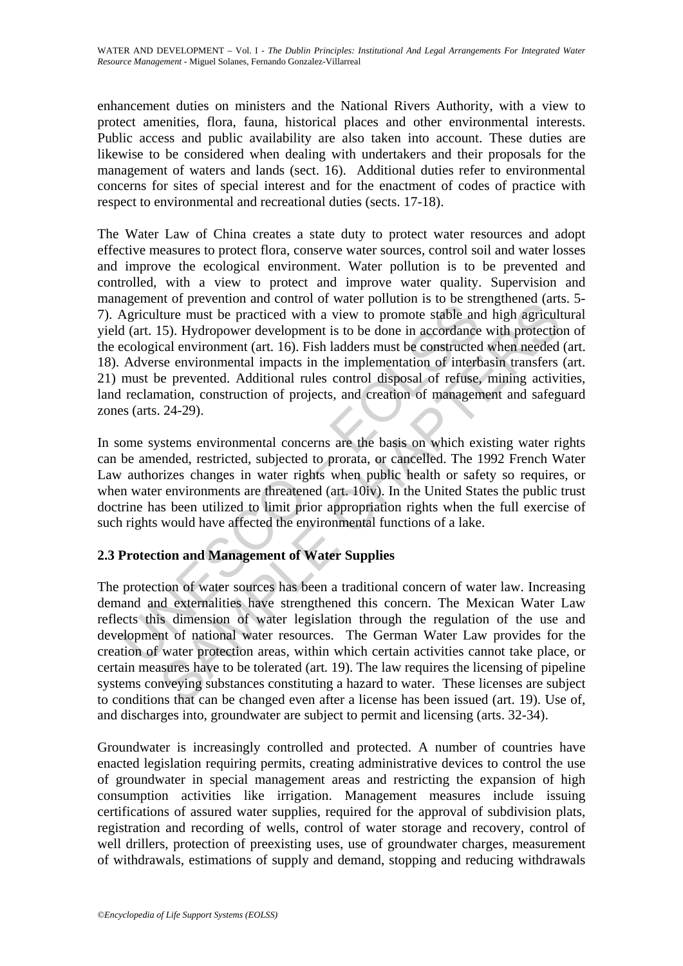enhancement duties on ministers and the National Rivers Authority, with a view to protect amenities, flora, fauna, historical places and other environmental interests. Public access and public availability are also taken into account. These duties are likewise to be considered when dealing with undertakers and their proposals for the management of waters and lands (sect. 16). Additional duties refer to environmental concerns for sites of special interest and for the enactment of codes of practice with respect to environmental and recreational duties (sects. 17-18).

Experience of *N* wear bottom and control where the station is to be due to promote stable and dart. 15). Hydropower development is to be done in accordance ecological environment (art. 16). Fish ladders must be constructe The Water Law of China creates a state duty to protect water resources and adopt effective measures to protect flora, conserve water sources, control soil and water losses and improve the ecological environment. Water pollution is to be prevented and controlled, with a view to protect and improve water quality. Supervision and management of prevention and control of water pollution is to be strengthened (arts. 5- 7). Agriculture must be practiced with a view to promote stable and high agricultural yield (art. 15). Hydropower development is to be done in accordance with protection of the ecological environment (art. 16). Fish ladders must be constructed when needed (art. 18). Adverse environmental impacts in the implementation of interbasin transfers (art. 21) must be prevented. Additional rules control disposal of refuse, mining activities, land reclamation, construction of projects, and creation of management and safeguard zones (arts. 24-29).

In some systems environmental concerns are the basis on which existing water rights can be amended, restricted, subjected to prorata, or cancelled. The 1992 French Water Law authorizes changes in water rights when public health or safety so requires, or when water environments are threatened (art. 10iv). In the United States the public trust doctrine has been utilized to limit prior appropriation rights when the full exercise of such rights would have affected the environmental functions of a lake.

## **2.3 Protection and Management of Water Supplies**

For our other sources that control water point<br>out the meast be practiced with a view to promote stable and high agricult<br>15). Hydropower development is to be done in accordance with protectio<br>cal environment (art. 16). F The protection of water sources has been a traditional concern of water law. Increasing demand and externalities have strengthened this concern. The Mexican Water Law reflects this dimension of water legislation through the regulation of the use and development of national water resources. The German Water Law provides for the creation of water protection areas, within which certain activities cannot take place, or certain measures have to be tolerated (art. 19). The law requires the licensing of pipeline systems conveying substances constituting a hazard to water. These licenses are subject to conditions that can be changed even after a license has been issued (art. 19). Use of, and discharges into, groundwater are subject to permit and licensing (arts. 32-34).

Groundwater is increasingly controlled and protected. A number of countries have enacted legislation requiring permits, creating administrative devices to control the use of groundwater in special management areas and restricting the expansion of high consumption activities like irrigation. Management measures include issuing certifications of assured water supplies, required for the approval of subdivision plats, registration and recording of wells, control of water storage and recovery, control of well drillers, protection of preexisting uses, use of groundwater charges, measurement of withdrawals, estimations of supply and demand, stopping and reducing withdrawals